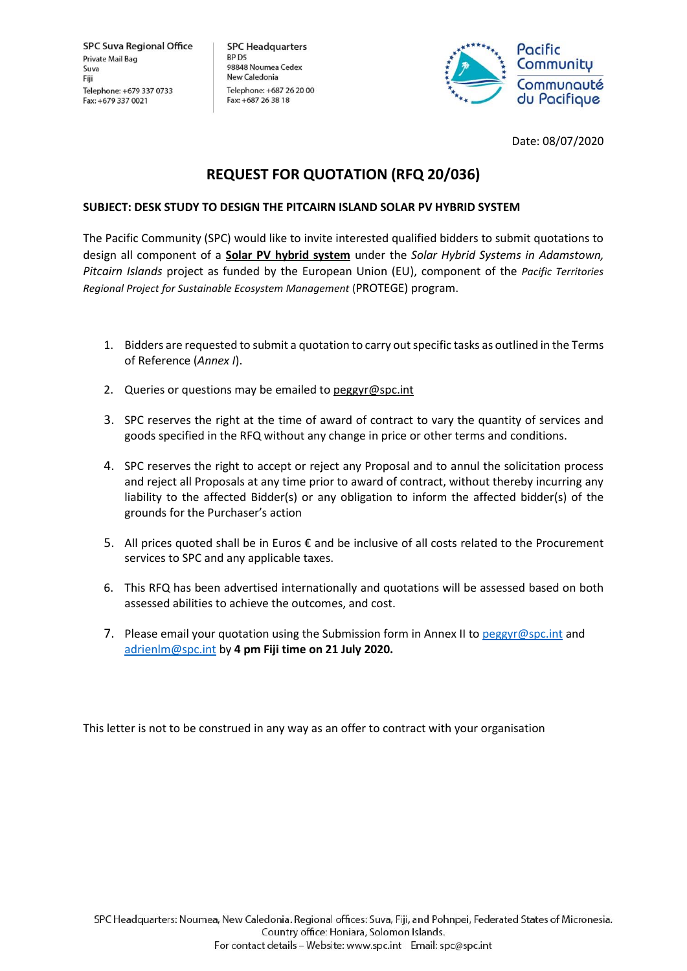**SPC Headquarters** BP<sub>D5</sub> 98848 Noumea Cedex New Caledonia Telephone: +687 26 20 00 Fax: +687 26 38 18



Date: 08/07/2020

# **REQUEST FOR QUOTATION (RFQ 20/036)**

## **SUBJECT: DESK STUDY TO DESIGN THE PITCAIRN ISLAND SOLAR PV HYBRID SYSTEM**

The Pacific Community (SPC) would like to invite interested qualified bidders to submit quotations to design all component of a **Solar PV hybrid system** under the *Solar Hybrid Systems in Adamstown, Pitcairn Islands* project as funded by the European Union (EU), component of the *Pacific Territories Regional Project for Sustainable Ecosystem Management* (PROTEGE) program.

- 1. Bidders are requested to submit a quotation to carry out specific tasks as outlined in the Terms of Reference (*Annex I*).
- 2. Queries or questions may be emailed to [peggyr@spc.int](mailto:peggyr@spc.int)
- 3. SPC reserves the right at the time of award of contract to vary the quantity of services and goods specified in the RFQ without any change in price or other terms and conditions.
- 4. SPC reserves the right to accept or reject any Proposal and to annul the solicitation process and reject all Proposals at any time prior to award of contract, without thereby incurring any liability to the affected Bidder(s) or any obligation to inform the affected bidder(s) of the grounds for the Purchaser's action
- 5. All prices quoted shall be in Euros  $\epsilon$  and be inclusive of all costs related to the Procurement services to SPC and any applicable taxes.
- 6. This RFQ has been advertised internationally and quotations will be assessed based on both assessed abilities to achieve the outcomes, and cost.
- 7. Please email your quotation using the Submission form in Annex II to [peggyr@spc.int](mailto:peggyr@spc.int) and [adrienlm@spc.int](mailto:adrienlm@spc.int) by **4 pm Fiji time on 21 July 2020.**

This letter is not to be construed in any way as an offer to contract with your organisation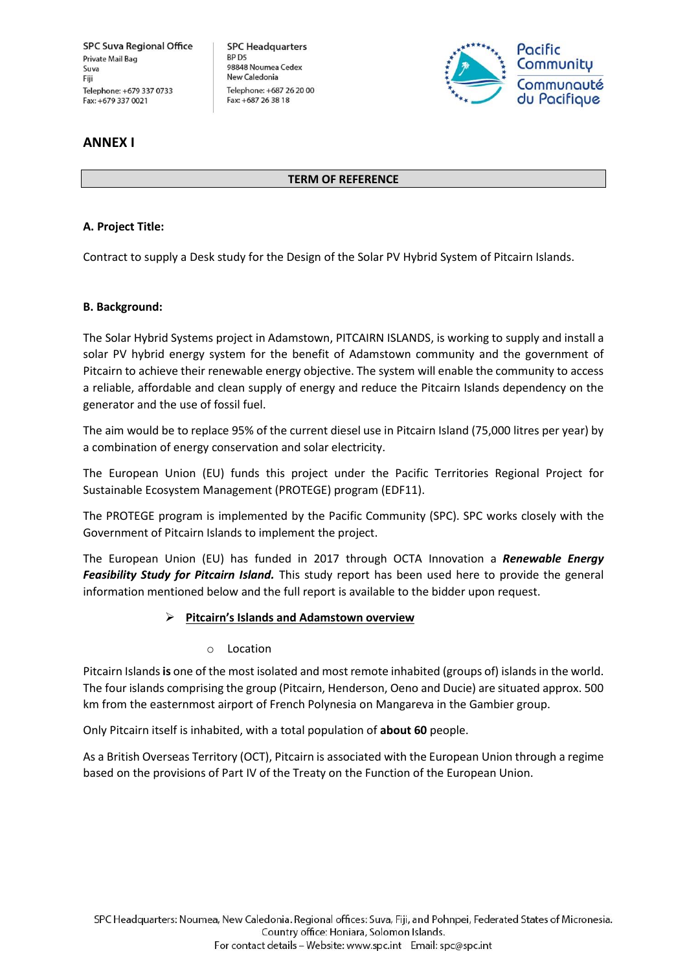**SPC Headquarters** BP<sub>D5</sub> 98848 Noumea Cedex New Caledonia Telephone: +687 26 20 00 Fax: +687 26 38 18



## **ANNEX I**

### **TERM OF REFERENCE**

## **A. Project Title:**

Contract to supply a Desk study for the Design of the Solar PV Hybrid System of Pitcairn Islands.

### **B. Background:**

The Solar Hybrid Systems project in Adamstown, PITCAIRN ISLANDS, is working to supply and install a solar PV hybrid energy system for the benefit of Adamstown community and the government of Pitcairn to achieve their renewable energy objective. The system will enable the community to access a reliable, affordable and clean supply of energy and reduce the Pitcairn Islands dependency on the generator and the use of fossil fuel.

The aim would be to replace 95% of the current diesel use in Pitcairn Island (75,000 litres per year) by a combination of energy conservation and solar electricity.

The European Union (EU) funds this project under the Pacific Territories Regional Project for Sustainable Ecosystem Management (PROTEGE) program (EDF11).

The PROTEGE program is implemented by the Pacific Community (SPC). SPC works closely with the Government of Pitcairn Islands to implement the project.

The European Union (EU) has funded in 2017 through OCTA Innovation a *Renewable Energy Feasibility Study for Pitcairn Island.* This study report has been used here to provide the general information mentioned below and the full report is available to the bidder upon request.

### ➢ **Pitcairn's Islands and Adamstown overview**

### o Location

Pitcairn Islands**is** one of the most isolated and most remote inhabited (groups of) islands in the world. The four islands comprising the group (Pitcairn, Henderson, Oeno and Ducie) are situated approx. 500 km from the easternmost airport of French Polynesia on Mangareva in the Gambier group.

Only Pitcairn itself is inhabited, with a total population of **about 60** people.

As a British Overseas Territory (OCT), Pitcairn is associated with the European Union through a regime based on the provisions of Part IV of the Treaty on the Function of the European Union.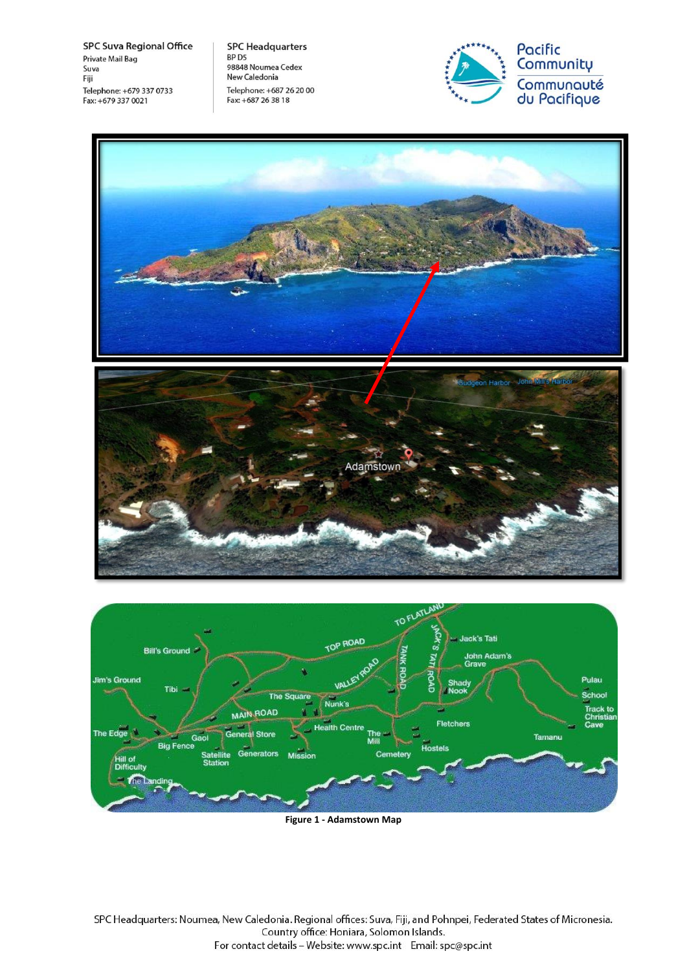**SPC Headquarters** BP D5<br>98848 Noumea Cedex New Caledonia Telephone: +687 26 20 00 Fax: +687 26 38 18









**Figure 1 - Adamstown Map**

SPC Headquarters: Noumea, New Caledonia. Regional offices: Suva, Fiji, and Pohnpei, Federated States of Micronesia. Country office: Honiara, Solomon Islands. For contact details - Website: www.spc.int Email: spc@spc.int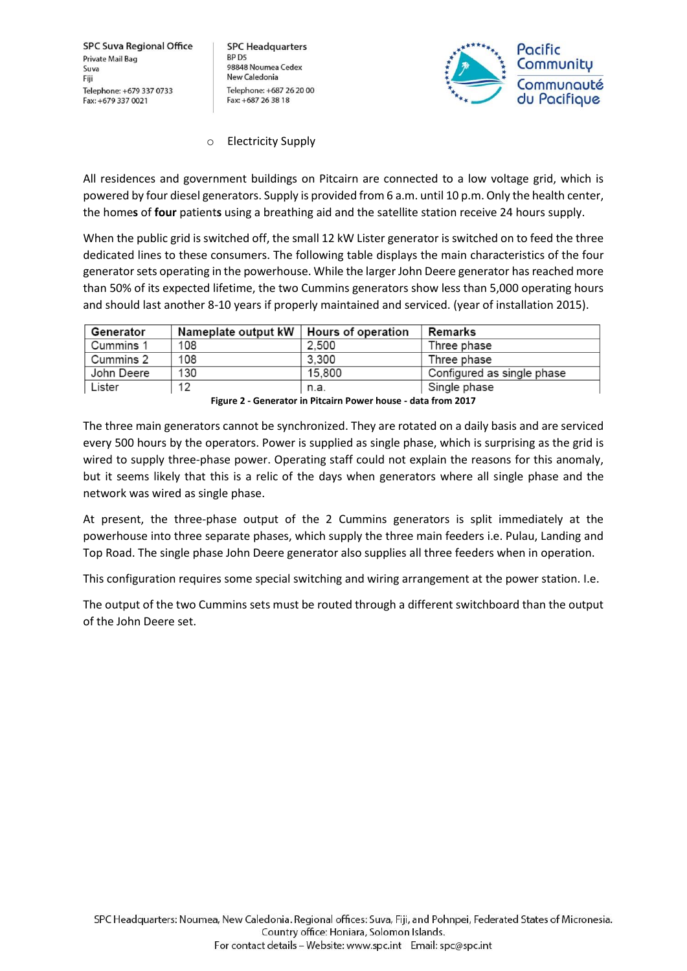**SPC Headquarters** BP D<sub>5</sub> 98848 Noumea Cedex New Caledonia Telephone: +687 26 20 00 Fax: +687 26 38 18



### o Electricity Supply

All residences and government buildings on Pitcairn are connected to a low voltage grid, which is powered by four diesel generators. Supply is provided from 6 a.m. until 10 p.m. Only the health center, the home**s** of **four** patient**s** using a breathing aid and the satellite station receive 24 hours supply.

When the public grid is switched off, the small 12 kW Lister generator is switched on to feed the three dedicated lines to these consumers. The following table displays the main characteristics of the four generator sets operating in the powerhouse. While the larger John Deere generator has reached more than 50% of its expected lifetime, the two Cummins generators show less than 5,000 operating hours and should last another 8-10 years if properly maintained and serviced. (year of installation 2015).

| Generator  | Nameplate output kW | <b>Hours of operation</b> | Remarks                    |
|------------|---------------------|---------------------------|----------------------------|
| Cummins 1  | 108                 | 2.500                     | Three phase                |
| Cummins 2  | 108                 | 3,300                     | Three phase                |
| John Deere | 130                 | 15,800                    | Configured as single phase |
| Lister     | 12                  | n.a.                      | Single phase               |

**Figure 2 - Generator in Pitcairn Power house - data from 2017**

The three main generators cannot be synchronized. They are rotated on a daily basis and are serviced every 500 hours by the operators. Power is supplied as single phase, which is surprising as the grid is wired to supply three-phase power. Operating staff could not explain the reasons for this anomaly, but it seems likely that this is a relic of the days when generators where all single phase and the network was wired as single phase.

At present, the three-phase output of the 2 Cummins generators is split immediately at the powerhouse into three separate phases, which supply the three main feeders i.e. Pulau, Landing and Top Road. The single phase John Deere generator also supplies all three feeders when in operation.

This configuration requires some special switching and wiring arrangement at the power station. I.e.

The output of the two Cummins sets must be routed through a different switchboard than the output of the John Deere set.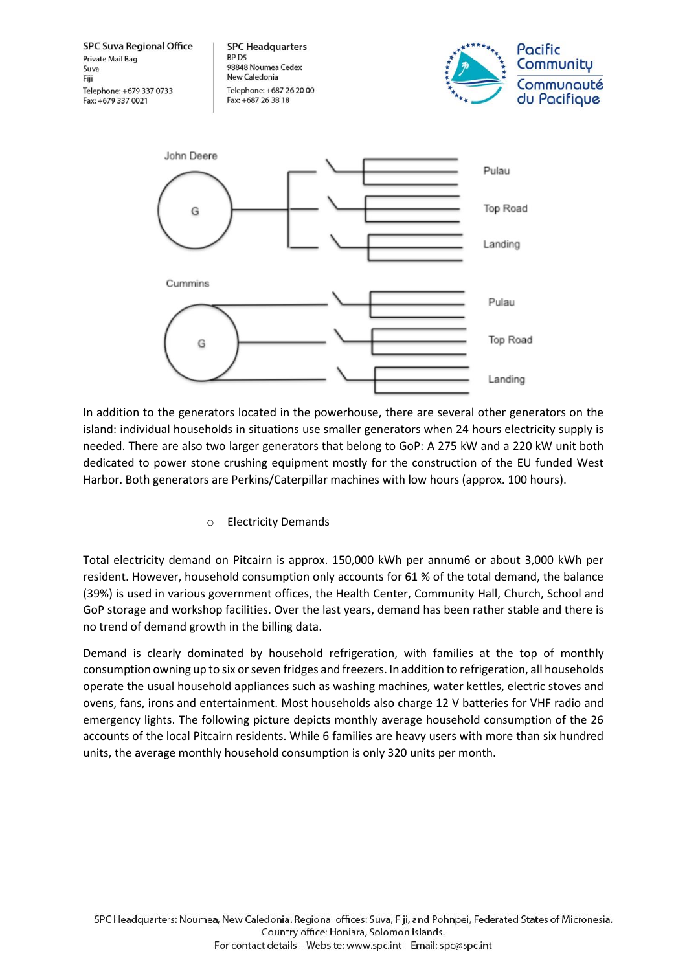**SPC Suva Regional Office SPC Headquarters** Pacific **RP D5 Private Mail Bag** Communitu 98848 Noumea Cedex Suva New Caledonia Fiji Communquté Telephone: +679 337 0733 Telephone: +687 26 20 00 du Pacifique Fax: +687 26 38 18 Fax: +679 337 0021



In addition to the generators located in the powerhouse, there are several other generators on the island: individual households in situations use smaller generators when 24 hours electricity supply is needed. There are also two larger generators that belong to GoP: A 275 kW and a 220 kW unit both dedicated to power stone crushing equipment mostly for the construction of the EU funded West Harbor. Both generators are Perkins/Caterpillar machines with low hours (approx. 100 hours).

## o Electricity Demands

Total electricity demand on Pitcairn is approx. 150,000 kWh per annum6 or about 3,000 kWh per resident. However, household consumption only accounts for 61 % of the total demand, the balance (39%) is used in various government offices, the Health Center, Community Hall, Church, School and GoP storage and workshop facilities. Over the last years, demand has been rather stable and there is no trend of demand growth in the billing data.

Demand is clearly dominated by household refrigeration, with families at the top of monthly consumption owning up to six or seven fridges and freezers. In addition to refrigeration, all households operate the usual household appliances such as washing machines, water kettles, electric stoves and ovens, fans, irons and entertainment. Most households also charge 12 V batteries for VHF radio and emergency lights. The following picture depicts monthly average household consumption of the 26 accounts of the local Pitcairn residents. While 6 families are heavy users with more than six hundred units, the average monthly household consumption is only 320 units per month.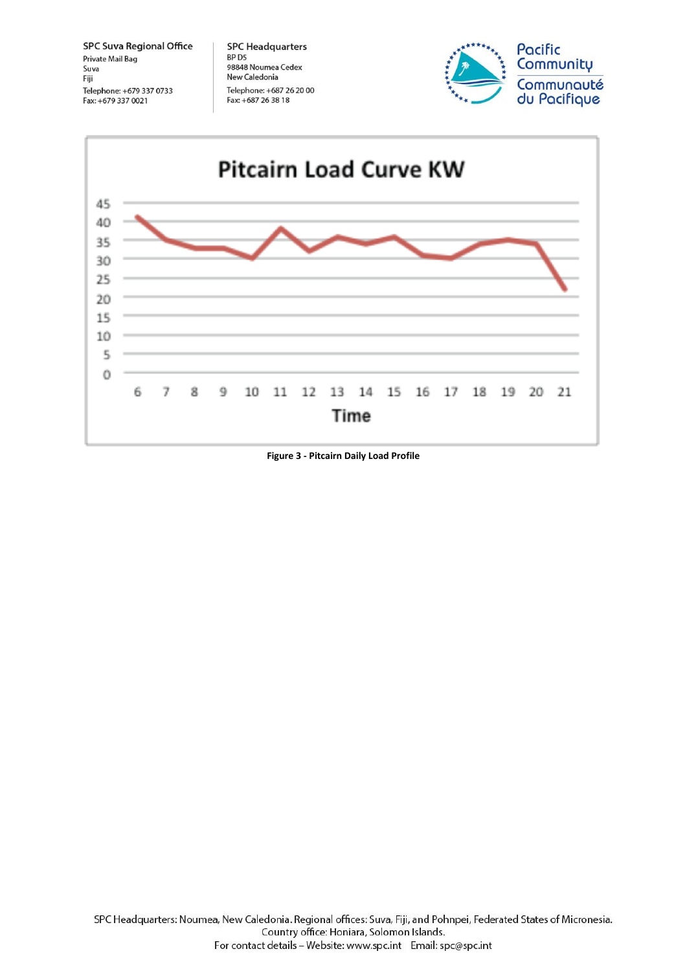**SPC Headquarters** BP D5<br>98848 Noumea Cedex New Caledonia Telephone: +687 26 20 00 Fax: +687 26 38 18





**Figure 3 - Pitcairn Daily Load Profile**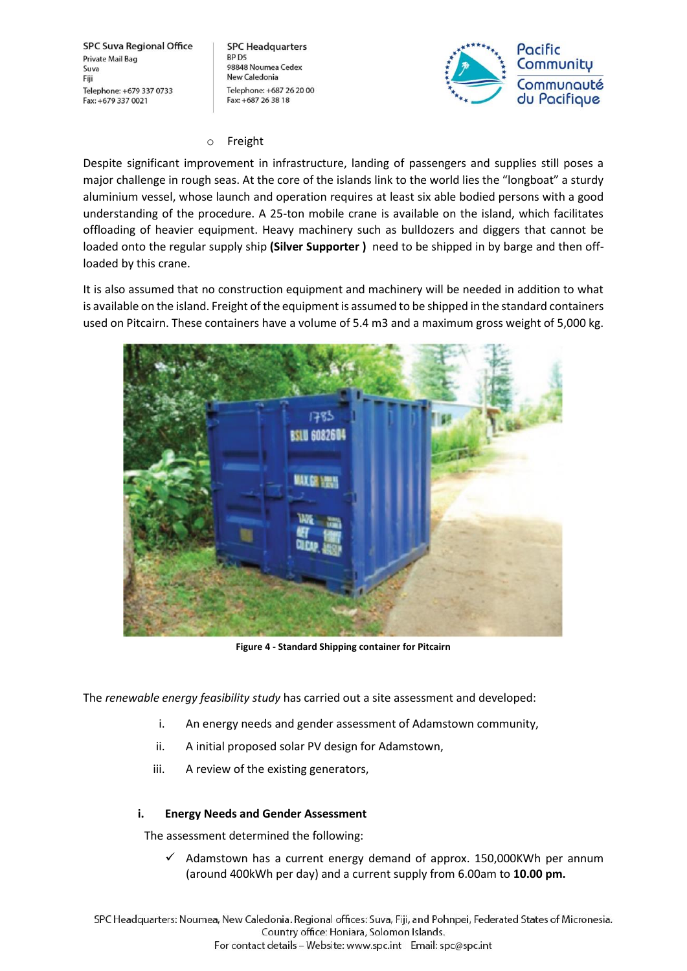**SPC Headquarters** BP<sub>D5</sub> 98848 Noumea Cedex New Caledonia Telephone: +687 26 20 00 Fax: +687 26 38 18



### o Freight

Despite significant improvement in infrastructure, landing of passengers and supplies still poses a major challenge in rough seas. At the core of the islands link to the world lies the "longboat" a sturdy aluminium vessel, whose launch and operation requires at least six able bodied persons with a good understanding of the procedure. A 25-ton mobile crane is available on the island, which facilitates offloading of heavier equipment. Heavy machinery such as bulldozers and diggers that cannot be loaded onto the regular supply ship **(Silver Supporter )** need to be shipped in by barge and then offloaded by this crane.

It is also assumed that no construction equipment and machinery will be needed in addition to what is available on the island. Freight of the equipment is assumed to be shipped in the standard containers used on Pitcairn. These containers have a volume of 5.4 m3 and a maximum gross weight of 5,000 kg.



**Figure 4 - Standard Shipping container for Pitcairn**

The *renewable energy feasibility study* has carried out a site assessment and developed:

- i. An energy needs and gender assessment of Adamstown community,
- ii. A initial proposed solar PV design for Adamstown,
- iii. A review of the existing generators,

### **i. Energy Needs and Gender Assessment**

The assessment determined the following:

 $\checkmark$  Adamstown has a current energy demand of approx. 150,000KWh per annum (around 400kWh per day) and a current supply from 6.00am to **10.00 pm.**

SPC Headquarters: Noumea, New Caledonia. Regional offices: Suva, Fiji, and Pohnpei, Federated States of Micronesia. Country office: Honiara, Solomon Islands. For contact details - Website: www.spc.int Email: spc@spc.int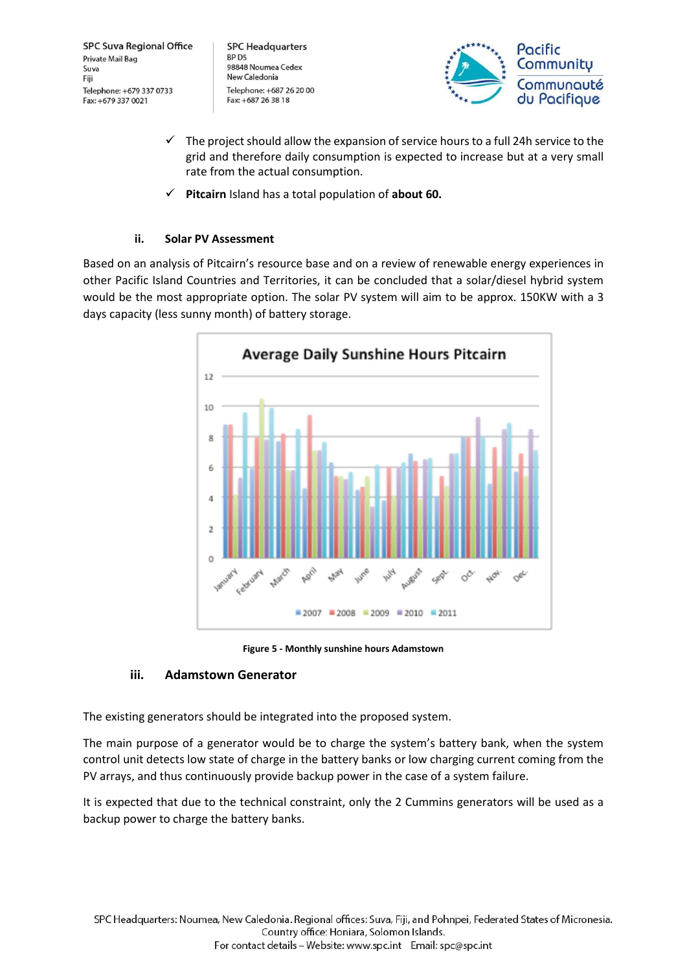**SPC Headquarters** BP<sub>D5</sub> 98848 Noumea Cedex New Caledonia Telephone: +687 26 20 00 Fax: +687 26 38 18



- $\checkmark$  The project should allow the expansion of service hours to a full 24h service to the grid and therefore daily consumption is expected to increase but at a very small rate from the actual consumption.
- ✓ **Pitcairn** Island has a total population of **about 60.**

## **ii. Solar PV Assessment**

Based on an analysis of Pitcairn's resource base and on a review of renewable energy experiences in other Pacific Island Countries and Territories, it can be concluded that a solar/diesel hybrid system would be the most appropriate option. The solar PV system will aim to be approx. 150KW with a 3 days capacity (less sunny month) of battery storage.



**Figure 5 - Monthly sunshine hours Adamstown**

## **iii. Adamstown Generator**

The existing generators should be integrated into the proposed system.

The main purpose of a generator would be to charge the system's battery bank, when the system control unit detects low state of charge in the battery banks or low charging current coming from the PV arrays, and thus continuously provide backup power in the case of a system failure.

It is expected that due to the technical constraint, only the 2 Cummins generators will be used as a backup power to charge the battery banks.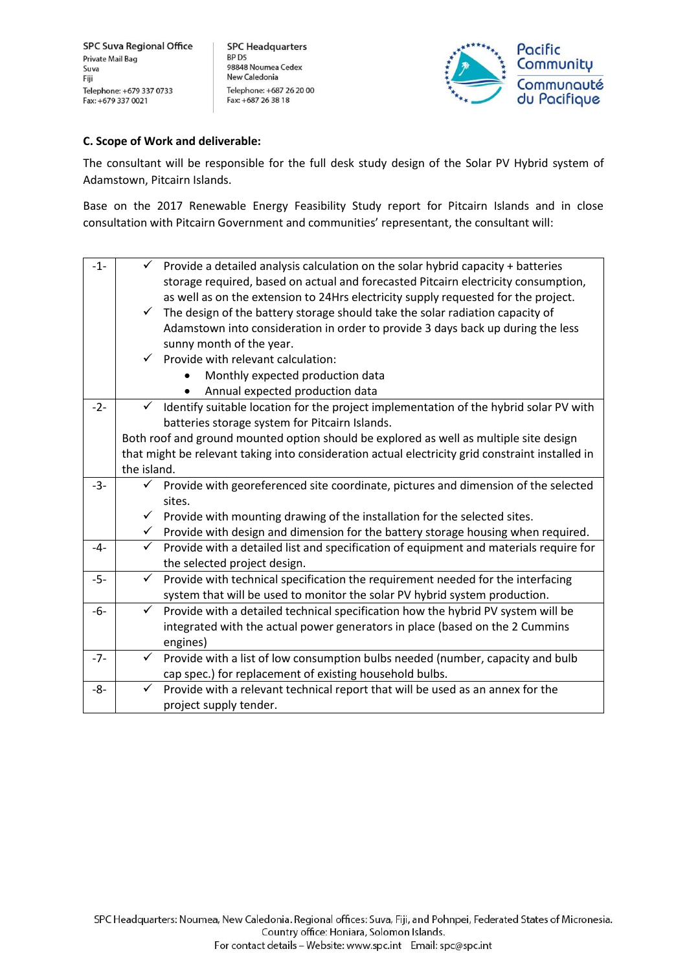**SPC Headquarters** BP D5 98848 Noumea Cedex New Caledonia Telephone: +687 26 20 00 Fax: +687 26 38 18



### **C. Scope of Work and deliverable:**

The consultant will be responsible for the full desk study design of the Solar PV Hybrid system of Adamstown, Pitcairn Islands.

Base on the 2017 Renewable Energy Feasibility Study report for Pitcairn Islands and in close consultation with Pitcairn Government and communities' representant, the consultant will:

| $-1-$ |              | $\checkmark$ Provide a detailed analysis calculation on the solar hybrid capacity + batteries    |
|-------|--------------|--------------------------------------------------------------------------------------------------|
|       |              | storage required, based on actual and forecasted Pitcairn electricity consumption,               |
|       |              | as well as on the extension to 24Hrs electricity supply requested for the project.               |
|       | $\checkmark$ | The design of the battery storage should take the solar radiation capacity of                    |
|       |              | Adamstown into consideration in order to provide 3 days back up during the less                  |
|       |              | sunny month of the year.                                                                         |
|       |              | $\checkmark$ Provide with relevant calculation:                                                  |
|       |              | Monthly expected production data                                                                 |
|       |              | Annual expected production data                                                                  |
| $-2-$ | $\checkmark$ | Identify suitable location for the project implementation of the hybrid solar PV with            |
|       |              | batteries storage system for Pitcairn Islands.                                                   |
|       |              | Both roof and ground mounted option should be explored as well as multiple site design           |
|       |              | that might be relevant taking into consideration actual electricity grid constraint installed in |
|       | the island.  |                                                                                                  |
| $-3-$ | ✓            | Provide with georeferenced site coordinate, pictures and dimension of the selected               |
|       |              | sites.                                                                                           |
|       |              | $\checkmark$ Provide with mounting drawing of the installation for the selected sites.           |
|       |              | $\checkmark$ Provide with design and dimension for the battery storage housing when required.    |
| $-4-$ | $\checkmark$ | Provide with a detailed list and specification of equipment and materials require for            |
|       |              | the selected project design.                                                                     |
| $-5-$ | $\checkmark$ | Provide with technical specification the requirement needed for the interfacing                  |
|       |              | system that will be used to monitor the solar PV hybrid system production.                       |
| -6-   | $\checkmark$ | Provide with a detailed technical specification how the hybrid PV system will be                 |
|       |              | integrated with the actual power generators in place (based on the 2 Cummins                     |
|       |              | engines)                                                                                         |
| $-7-$ | $\checkmark$ | Provide with a list of low consumption bulbs needed (number, capacity and bulb                   |
|       |              | cap spec.) for replacement of existing household bulbs.                                          |
| $-8-$ | ✓            | Provide with a relevant technical report that will be used as an annex for the                   |
|       |              | project supply tender.                                                                           |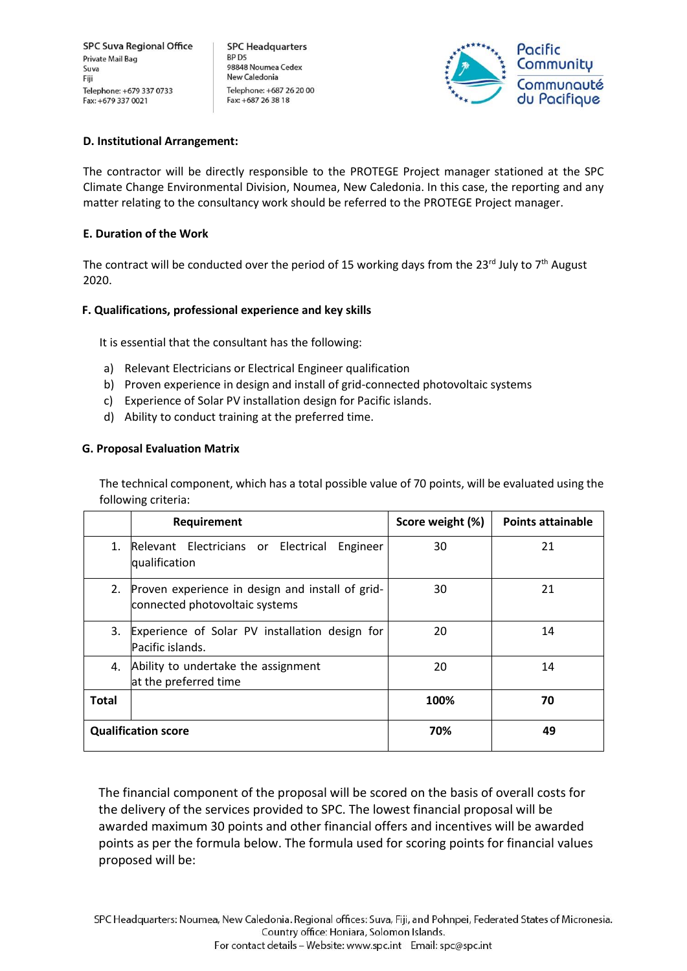**SPC Headquarters** BP D<sub>5</sub> 98848 Noumea Cedex New Caledonia Telephone: +687 26 20 00 Fax: +687 26 38 18



### **D. Institutional Arrangement:**

The contractor will be directly responsible to the PROTEGE Project manager stationed at the SPC Climate Change Environmental Division, Noumea, New Caledonia. In this case, the reporting and any matter relating to the consultancy work should be referred to the PROTEGE Project manager.

## **E. Duration of the Work**

The contract will be conducted over the period of 15 working days from the 23<sup>rd</sup> July to 7<sup>th</sup> August 2020.

## **F. Qualifications, professional experience and key skills**

It is essential that the consultant has the following:

- a) Relevant Electricians or Electrical Engineer qualification
- b) Proven experience in design and install of grid-connected photovoltaic systems
- c) Experience of Solar PV installation design for Pacific islands.
- d) Ability to conduct training at the preferred time.

## **G. Proposal Evaluation Matrix**

The technical component, which has a total possible value of 70 points, will be evaluated using the following criteria:

|              | Requirement                                                                        | Score weight (%) | <b>Points attainable</b> |
|--------------|------------------------------------------------------------------------------------|------------------|--------------------------|
| 1.           | Relevant Electricians or Electrical<br>Engineer<br>qualification                   | 30               | 21                       |
| 2.           | Proven experience in design and install of grid-<br>connected photovoltaic systems | 30               | 21                       |
| 3.           | Experience of Solar PV installation design for<br>Pacific islands.                 | 20               | 14                       |
| 4.           | Ability to undertake the assignment<br>at the preferred time                       | 20               | 14                       |
| <b>Total</b> |                                                                                    | 100%             | 70                       |
|              | <b>Qualification score</b>                                                         | 70%              | 49                       |

The financial component of the proposal will be scored on the basis of overall costs for the delivery of the services provided to SPC. The lowest financial proposal will be awarded maximum 30 points and other financial offers and incentives will be awarded points as per the formula below. The formula used for scoring points for financial values proposed will be: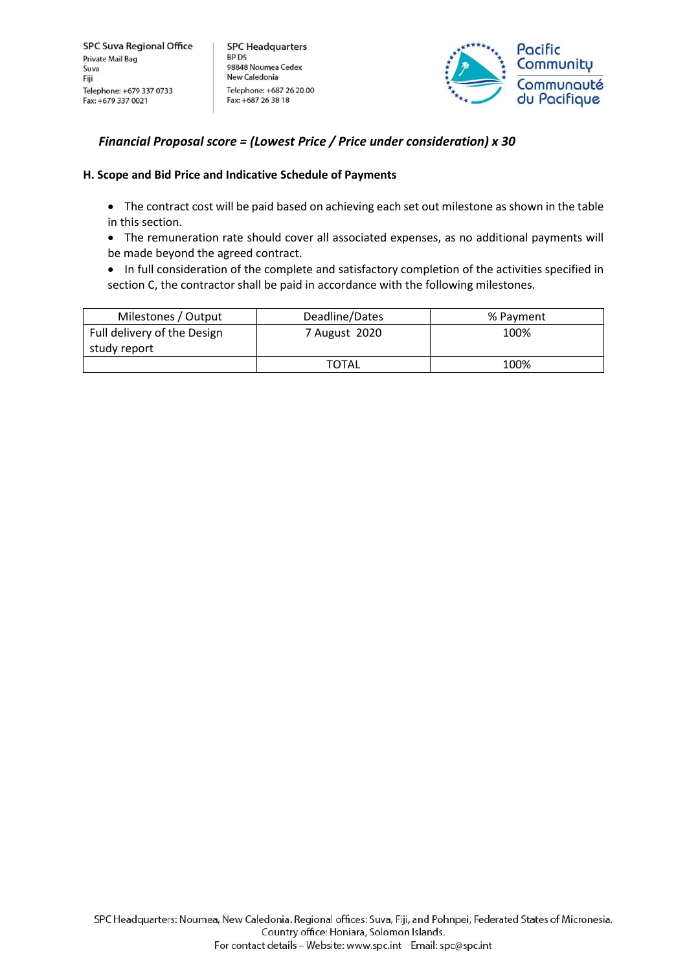**SPC Headquarters** BP<sub>D5</sub> 98848 Noumea Cedex New Caledonia Telephone: +687 26 20 00 Fax: +687 26 38 18



## *Financial Proposal score = (Lowest Price / Price under consideration) x 30*

### **H. Scope and Bid Price and Indicative Schedule of Payments**

- The contract cost will be paid based on achieving each set out milestone as shown in the table in this section.
- The remuneration rate should cover all associated expenses, as no additional payments will be made beyond the agreed contract.
- In full consideration of the complete and satisfactory completion of the activities specified in section C, the contractor shall be paid in accordance with the following milestones.

| Milestones / Output         | Deadline/Dates | % Payment |
|-----------------------------|----------------|-----------|
| Full delivery of the Design | 7 August 2020  | 100%      |
| study report                |                |           |
|                             | <b>TOTAL</b>   | 100%      |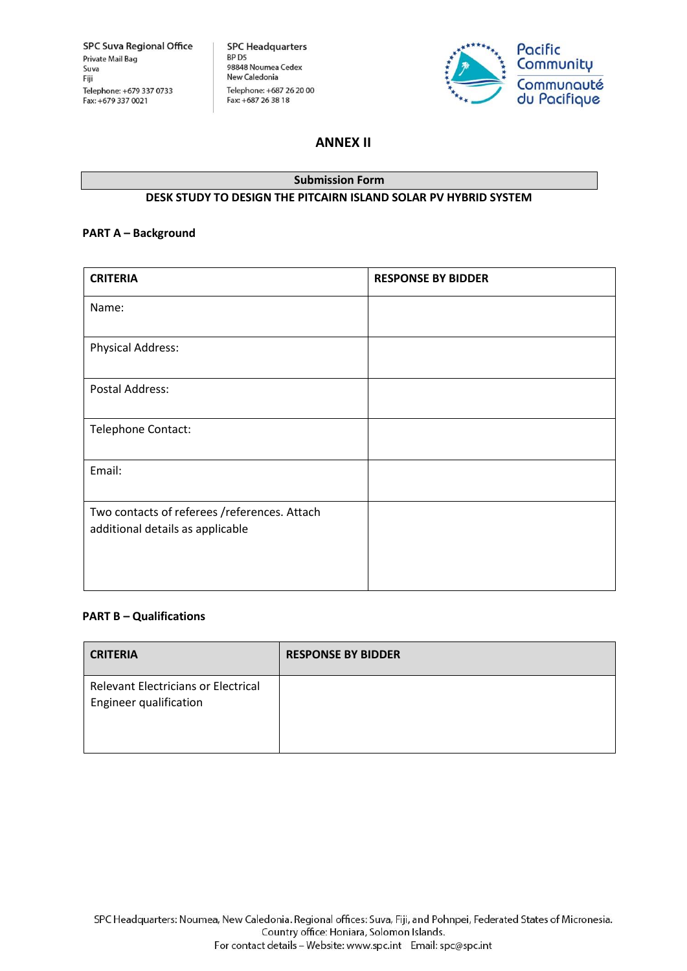**SPC Headquarters** SPC Headquarters<br>BP D5<br>98848 Noumea Cedex<br>New Caledonia New Caledonia Telephone: +687 26 20 00 Fax: +687 26 38 18



## **ANNEX II**

## **Submission Form DESK STUDY TO DESIGN THE PITCAIRN ISLAND SOLAR PV HYBRID SYSTEM**

### **PART A – Background**

| <b>RESPONSE BY BIDDER</b> |
|---------------------------|
|                           |
|                           |
|                           |
|                           |
|                           |
|                           |
|                           |

### **PART B – Qualifications**

| <b>CRITERIA</b>                                                      | <b>RESPONSE BY BIDDER</b> |
|----------------------------------------------------------------------|---------------------------|
| <b>Relevant Electricians or Electrical</b><br>Engineer qualification |                           |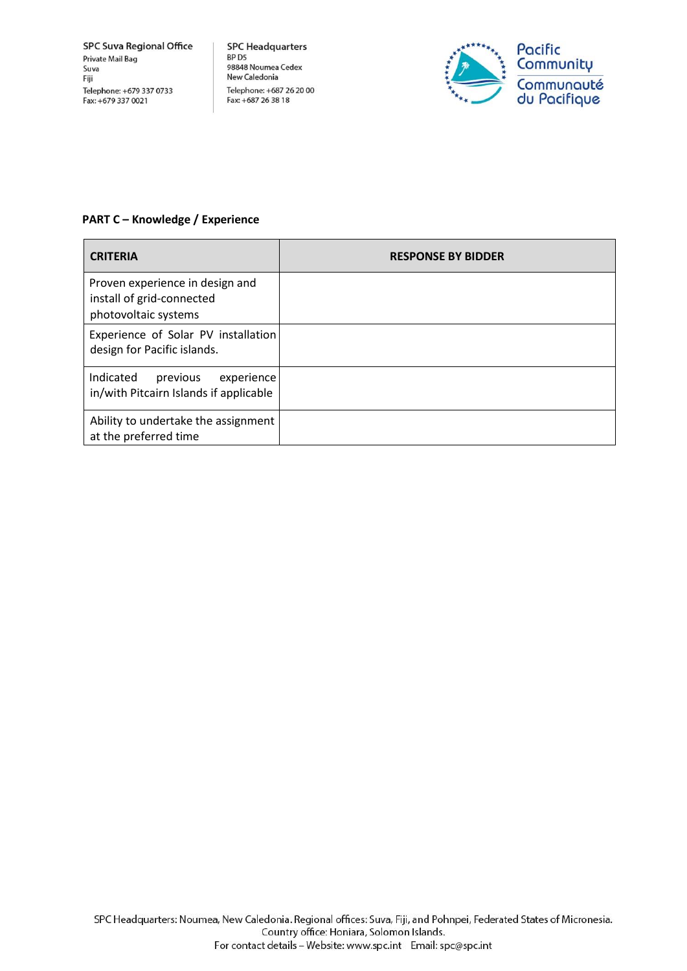**SPC Headquarters SPC Headquarter:**<br>BP D5<br>98848 Noumea Cedex<br>New Caledonia New Caledonia Telephone: +687 26 20 00 Fax: +687 26 38 18



## **PART C – Knowledge / Experience**

| <b>CRITERIA</b>                                                                      | <b>RESPONSE BY BIDDER</b> |
|--------------------------------------------------------------------------------------|---------------------------|
| Proven experience in design and<br>install of grid-connected<br>photovoltaic systems |                           |
| Experience of Solar PV installation<br>design for Pacific islands.                   |                           |
| Indicated<br>experience<br>previous<br>in/with Pitcairn Islands if applicable        |                           |
| Ability to undertake the assignment<br>at the preferred time                         |                           |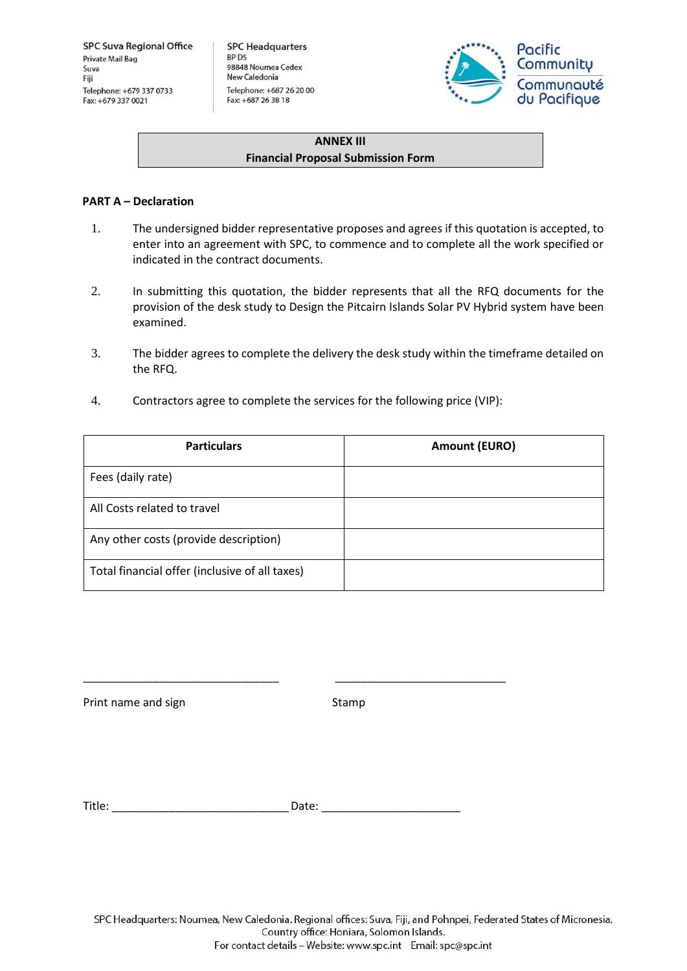**SPC Headquarters** BP D5 98848 Noumea Cedex New Caledonia Telephone: +687 26 20 00 Fax: +687 26 38 18



## **ANNEX III Financial Proposal Submission Form**

### **PART A – Declaration**

- 1. The undersigned bidder representative proposes and agrees if this quotation is accepted, to enter into an agreement with SPC, to commence and to complete all the work specified or indicated in the contract documents.
- 2. In submitting this quotation, the bidder represents that all the RFQ documents for the provision of the desk study to Design the Pitcairn Islands Solar PV Hybrid system have been examined.
- 3. The bidder agrees to complete the delivery the desk study within the timeframe detailed on the RFQ.
- 4. Contractors agree to complete the services for the following price (VIP):

\_\_\_\_\_\_\_\_\_\_\_\_\_\_\_\_\_\_\_\_\_\_\_\_\_\_\_\_\_\_\_ \_\_\_\_\_\_\_\_\_\_\_\_\_\_\_\_\_\_\_\_\_\_\_\_\_\_\_

| <b>Particulars</b>                             | <b>Amount (EURO)</b> |
|------------------------------------------------|----------------------|
| Fees (daily rate)                              |                      |
| All Costs related to travel                    |                      |
| Any other costs (provide description)          |                      |
| Total financial offer (inclusive of all taxes) |                      |

Print name and sign Stamp

Title: The contract of the contract of the Date:  $\Box$  Date:  $\Box$ 

SPC Headquarters: Noumea, New Caledonia. Regional offices: Suva, Fiji, and Pohnpei, Federated States of Micronesia. Country office: Honiara, Solomon Islands. For contact details - Website: www.spc.int Email: spc@spc.int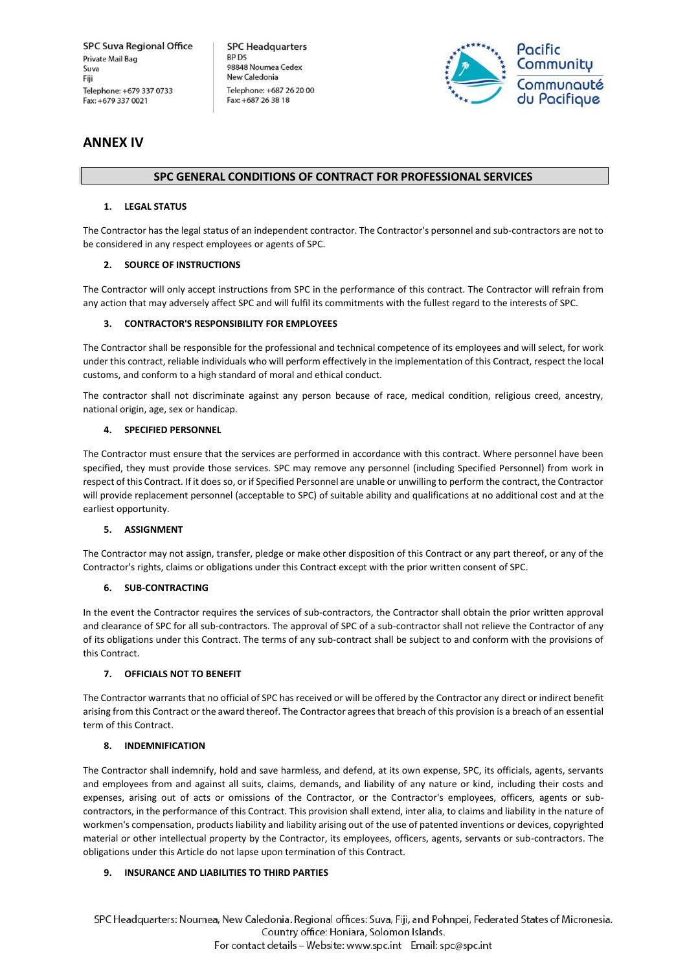**SPC Headquarters** BP<sub>D5</sub> 98848 Noumea Cedex New Caledonia Telephone: +687 26 20 00 Fax: +687 26 38 18



## **ANNEX IV**

#### **SPC GENERAL CONDITIONS OF CONTRACT FOR PROFESSIONAL SERVICES**

#### **1. LEGAL STATUS**

The Contractor has the legal status of an independent contractor. The Contractor's personnel and sub-contractors are not to be considered in any respect employees or agents of SPC.

#### **2. SOURCE OF INSTRUCTIONS**

The Contractor will only accept instructions from SPC in the performance of this contract. The Contractor will refrain from any action that may adversely affect SPC and will fulfil its commitments with the fullest regard to the interests of SPC.

#### **3. CONTRACTOR'S RESPONSIBILITY FOR EMPLOYEES**

The Contractor shall be responsible for the professional and technical competence of its employees and will select, for work under this contract, reliable individuals who will perform effectively in the implementation of this Contract, respect the local customs, and conform to a high standard of moral and ethical conduct.

The contractor shall not discriminate against any person because of race, medical condition, religious creed, ancestry, national origin, age, sex or handicap.

#### **4. SPECIFIED PERSONNEL**

The Contractor must ensure that the services are performed in accordance with this contract. Where personnel have been specified, they must provide those services. SPC may remove any personnel (including Specified Personnel) from work in respect of this Contract. If it does so, or if Specified Personnel are unable or unwilling to perform the contract, the Contractor will provide replacement personnel (acceptable to SPC) of suitable ability and qualifications at no additional cost and at the earliest opportunity.

#### **5. ASSIGNMENT**

The Contractor may not assign, transfer, pledge or make other disposition of this Contract or any part thereof, or any of the Contractor's rights, claims or obligations under this Contract except with the prior written consent of SPC.

#### **6. SUB-CONTRACTING**

In the event the Contractor requires the services of sub-contractors, the Contractor shall obtain the prior written approval and clearance of SPC for all sub-contractors. The approval of SPC of a sub-contractor shall not relieve the Contractor of any of its obligations under this Contract. The terms of any sub-contract shall be subject to and conform with the provisions of this Contract.

#### **7. OFFICIALS NOT TO BENEFIT**

The Contractor warrants that no official of SPC has received or will be offered by the Contractor any direct or indirect benefit arising from this Contract or the award thereof. The Contractor agrees that breach of this provision is a breach of an essential term of this Contract.

#### **8. INDEMNIFICATION**

The Contractor shall indemnify, hold and save harmless, and defend, at its own expense, SPC, its officials, agents, servants and employees from and against all suits, claims, demands, and liability of any nature or kind, including their costs and expenses, arising out of acts or omissions of the Contractor, or the Contractor's employees, officers, agents or subcontractors, in the performance of this Contract. This provision shall extend, inter alia, to claims and liability in the nature of workmen's compensation, products liability and liability arising out of the use of patented inventions or devices, copyrighted material or other intellectual property by the Contractor, its employees, officers, agents, servants or sub-contractors. The obligations under this Article do not lapse upon termination of this Contract.

#### **9. INSURANCE AND LIABILITIES TO THIRD PARTIES**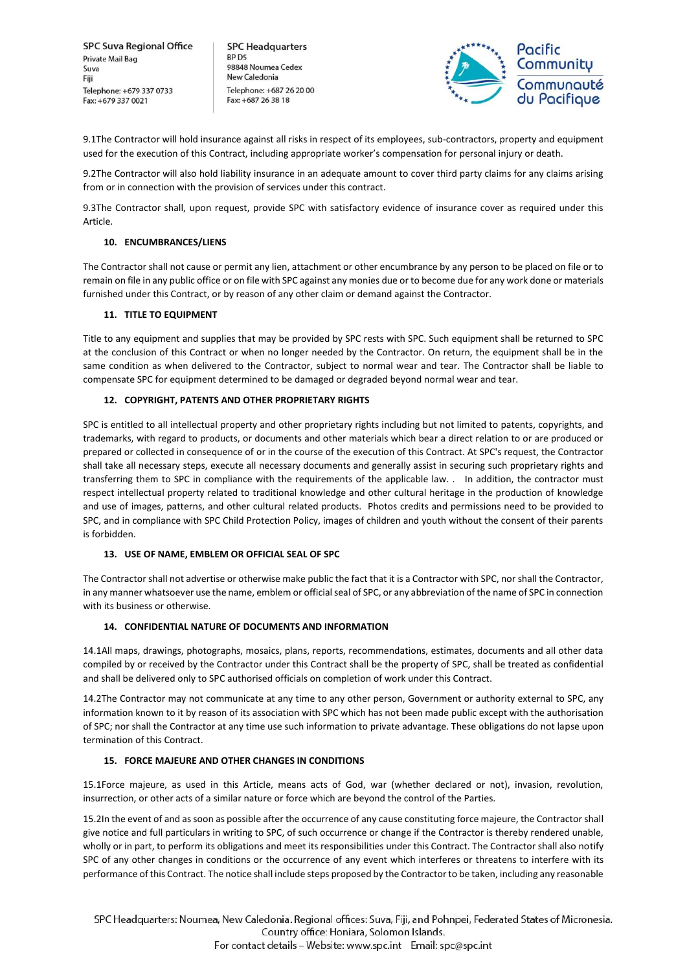**SPC Headquarters** BP<sub>D5</sub> 98848 Noumea Cedex New Caledonia Telephone: +687 26 20 00 Fax: +687 26 38 18



9.1The Contractor will hold insurance against all risks in respect of its employees, sub-contractors, property and equipment used for the execution of this Contract, including appropriate worker's compensation for personal injury or death.

9.2The Contractor will also hold liability insurance in an adequate amount to cover third party claims for any claims arising from or in connection with the provision of services under this contract.

9.3The Contractor shall, upon request, provide SPC with satisfactory evidence of insurance cover as required under this Article.

#### **10. ENCUMBRANCES/LIENS**

The Contractor shall not cause or permit any lien, attachment or other encumbrance by any person to be placed on file or to remain on file in any public office or on file with SPC against any monies due or to become due for any work done or materials furnished under this Contract, or by reason of any other claim or demand against the Contractor.

#### **11. TITLE TO EQUIPMENT**

Title to any equipment and supplies that may be provided by SPC rests with SPC. Such equipment shall be returned to SPC at the conclusion of this Contract or when no longer needed by the Contractor. On return, the equipment shall be in the same condition as when delivered to the Contractor, subject to normal wear and tear. The Contractor shall be liable to compensate SPC for equipment determined to be damaged or degraded beyond normal wear and tear.

#### **12. COPYRIGHT, PATENTS AND OTHER PROPRIETARY RIGHTS**

SPC is entitled to all intellectual property and other proprietary rights including but not limited to patents, copyrights, and trademarks, with regard to products, or documents and other materials which bear a direct relation to or are produced or prepared or collected in consequence of or in the course of the execution of this Contract. At SPC's request, the Contractor shall take all necessary steps, execute all necessary documents and generally assist in securing such proprietary rights and transferring them to SPC in compliance with the requirements of the applicable law. . In addition, the contractor must respect intellectual property related to traditional knowledge and other cultural heritage in the production of knowledge and use of images, patterns, and other cultural related products. Photos credits and permissions need to be provided to SPC, and in compliance with SPC Child Protection Policy, images of children and youth without the consent of their parents is forbidden.

#### **13. USE OF NAME, EMBLEM OR OFFICIAL SEAL OF SPC**

The Contractor shall not advertise or otherwise make public the fact that it is a Contractor with SPC, nor shall the Contractor, in any manner whatsoever use the name, emblem or official seal of SPC, or any abbreviation of the name of SPC in connection with its business or otherwise.

#### **14. CONFIDENTIAL NATURE OF DOCUMENTS AND INFORMATION**

14.1All maps, drawings, photographs, mosaics, plans, reports, recommendations, estimates, documents and all other data compiled by or received by the Contractor under this Contract shall be the property of SPC, shall be treated as confidential and shall be delivered only to SPC authorised officials on completion of work under this Contract.

14.2The Contractor may not communicate at any time to any other person, Government or authority external to SPC, any information known to it by reason of its association with SPC which has not been made public except with the authorisation of SPC; nor shall the Contractor at any time use such information to private advantage. These obligations do not lapse upon termination of this Contract.

#### **15. FORCE MAJEURE AND OTHER CHANGES IN CONDITIONS**

15.1Force majeure, as used in this Article, means acts of God, war (whether declared or not), invasion, revolution, insurrection, or other acts of a similar nature or force which are beyond the control of the Parties.

15.2In the event of and as soon as possible after the occurrence of any cause constituting force majeure, the Contractor shall give notice and full particulars in writing to SPC, of such occurrence or change if the Contractor is thereby rendered unable, wholly or in part, to perform its obligations and meet its responsibilities under this Contract. The Contractor shall also notify SPC of any other changes in conditions or the occurrence of any event which interferes or threatens to interfere with its performance of this Contract. The notice shall include steps proposed by the Contractor to be taken, including any reasonable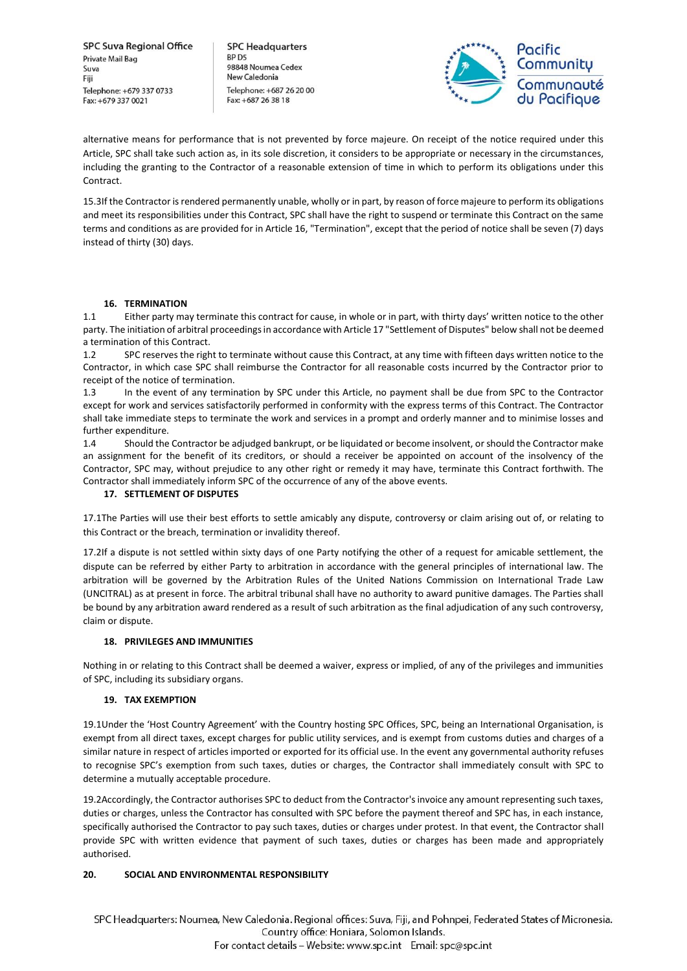**SPC Headquarters** BP<sub>D5</sub> 98848 Noumea Cedex New Caledonia Telephone: +687 26 20 00 Fax: +687 26 38 18



alternative means for performance that is not prevented by force majeure. On receipt of the notice required under this Article, SPC shall take such action as, in its sole discretion, it considers to be appropriate or necessary in the circumstances, including the granting to the Contractor of a reasonable extension of time in which to perform its obligations under this Contract.

15.3If the Contractor is rendered permanently unable, wholly or in part, by reason of force majeure to perform its obligations and meet its responsibilities under this Contract, SPC shall have the right to suspend or terminate this Contract on the same terms and conditions as are provided for in Article 16, "Termination", except that the period of notice shall be seven (7) days instead of thirty (30) days.

#### **16. TERMINATION**

1.1 Either party may terminate this contract for cause, in whole or in part, with thirty days' written notice to the other party. The initiation of arbitral proceedings in accordance with Article 17 "Settlement of Disputes" below shall not be deemed a termination of this Contract.

1.2 SPC reserves the right to terminate without cause this Contract, at any time with fifteen days written notice to the Contractor, in which case SPC shall reimburse the Contractor for all reasonable costs incurred by the Contractor prior to receipt of the notice of termination.

1.3 In the event of any termination by SPC under this Article, no payment shall be due from SPC to the Contractor except for work and services satisfactorily performed in conformity with the express terms of this Contract. The Contractor shall take immediate steps to terminate the work and services in a prompt and orderly manner and to minimise losses and further expenditure.

1.4 Should the Contractor be adjudged bankrupt, or be liquidated or become insolvent, or should the Contractor make an assignment for the benefit of its creditors, or should a receiver be appointed on account of the insolvency of the Contractor, SPC may, without prejudice to any other right or remedy it may have, terminate this Contract forthwith. The Contractor shall immediately inform SPC of the occurrence of any of the above events.

#### **17. SETTLEMENT OF DISPUTES**

17.1The Parties will use their best efforts to settle amicably any dispute, controversy or claim arising out of, or relating to this Contract or the breach, termination or invalidity thereof.

17.2If a dispute is not settled within sixty days of one Party notifying the other of a request for amicable settlement, the dispute can be referred by either Party to arbitration in accordance with the general principles of international law. The arbitration will be governed by the Arbitration Rules of the United Nations Commission on International Trade Law (UNCITRAL) as at present in force. The arbitral tribunal shall have no authority to award punitive damages. The Parties shall be bound by any arbitration award rendered as a result of such arbitration as the final adjudication of any such controversy, claim or dispute.

#### **18. PRIVILEGES AND IMMUNITIES**

Nothing in or relating to this Contract shall be deemed a waiver, express or implied, of any of the privileges and immunities of SPC, including its subsidiary organs.

#### **19. TAX EXEMPTION**

19.1Under the 'Host Country Agreement' with the Country hosting SPC Offices, SPC, being an International Organisation, is exempt from all direct taxes, except charges for public utility services, and is exempt from customs duties and charges of a similar nature in respect of articles imported or exported for its official use. In the event any governmental authority refuses to recognise SPC's exemption from such taxes, duties or charges, the Contractor shall immediately consult with SPC to determine a mutually acceptable procedure.

19.2Accordingly, the Contractor authorises SPC to deduct from the Contractor's invoice any amount representing such taxes, duties or charges, unless the Contractor has consulted with SPC before the payment thereof and SPC has, in each instance, specifically authorised the Contractor to pay such taxes, duties or charges under protest. In that event, the Contractor shall provide SPC with written evidence that payment of such taxes, duties or charges has been made and appropriately authorised.

#### **20. SOCIAL AND ENVIRONMENTAL RESPONSIBILITY**